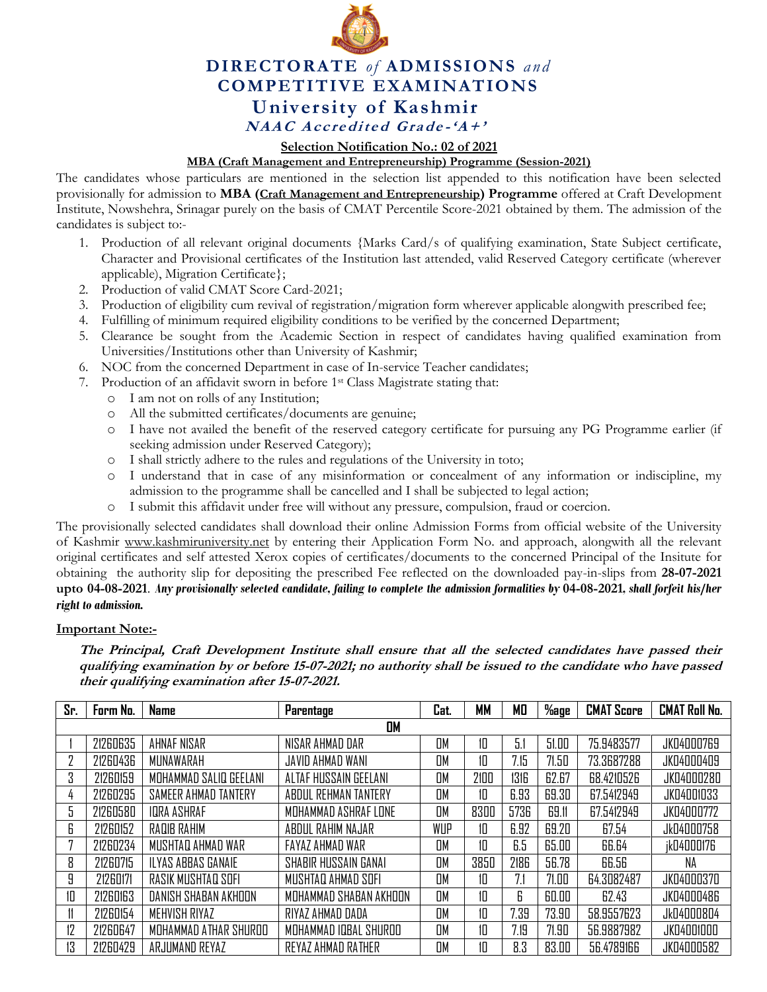

## **DIRECTORATE** *of* **ADMISSIONS** *and* **COMPETITIVE EXAMINATIONS University of Kashmir NAAC** Accredited Grade-' $A +$ '

**Selection Notification No.: 02 of 2021**

**MBA (Craft Management and Entrepreneurship) Programme (Session-2021)**

The candidates whose particulars are mentioned in the selection list appended to this notification have been selected provisionally for admission to **MBA (Craft Management and Entrepreneurship) Programme** offered at Craft Development Institute, Nowshehra, Srinagar purely on the basis of CMAT Percentile Score-2021 obtained by them. The admission of the candidates is subject to:-

- 1. Production of all relevant original documents {Marks Card/s of qualifying examination, State Subject certificate, Character and Provisional certificates of the Institution last attended, valid Reserved Category certificate (wherever applicable), Migration Certificate};
- 2. Production of valid CMAT Score Card-2021;
- 3. Production of eligibility cum revival of registration/migration form wherever applicable alongwith prescribed fee;
- 4. Fulfilling of minimum required eligibility conditions to be verified by the concerned Department;
- 5. Clearance be sought from the Academic Section in respect of candidates having qualified examination from Universities/Institutions other than University of Kashmir;
- 6. NOC from the concerned Department in case of In-service Teacher candidates;
- 7. Production of an affidavit sworn in before 1st Class Magistrate stating that:
	- o I am not on rolls of any Institution;
	- o All the submitted certificates/documents are genuine;
	- o I have not availed the benefit of the reserved category certificate for pursuing any PG Programme earlier (if seeking admission under Reserved Category);
	- o I shall strictly adhere to the rules and regulations of the University in toto;
	- o I understand that in case of any misinformation or concealment of any information or indiscipline, my admission to the programme shall be cancelled and I shall be subjected to legal action;
	- o I submit this affidavit under free will without any pressure, compulsion, fraud or coercion.

The provisionally selected candidates shall download their online Admission Forms from official website of the University of Kashmir [www.kashmiruniversity.net](http://www.kashmiruniversity.net/) by entering their Application Form No. and approach, alongwith all the relevant original certificates and self attested Xerox copies of certificates/documents to the concerned Principal of the Insitute for obtaining the authority slip for depositing the prescribed Fee reflected on the downloaded pay-in-slips from **28-07-2021 upto 04-08-2021**. *Any provisionally selected candidate, failing to complete the admission formalities by* **04-08-2021***, shall forfeit his/her right to admission.* 

## **Important Note:-**

**The Principal, Craft Development Institute shall ensure that all the selected candidates have passed their qualifying examination by or before 15-07-2021; no authority shall be issued to the candidate who have passed their qualifying examination after 15-07-2021.** 

| Sr.       | Form No. | <b>Name</b>                 | Parentage              | Cat.      | <b>MM</b> | МO   | %age  | <b>CMAT Score</b> | <b>CMAT Roll No.</b> |  |
|-----------|----------|-----------------------------|------------------------|-----------|-----------|------|-------|-------------------|----------------------|--|
| <b>DM</b> |          |                             |                        |           |           |      |       |                   |                      |  |
|           | 21260635 | <b>AHNAF NISAR</b>          | NISAR AHMAD DAR        | <b>DM</b> | 10        | 5.1  | 51.00 | 75.9483577        | <b>JK04000769</b>    |  |
|           | 21260436 | MUNAWARAH                   | JAVID AHMAD WANI       | <b>DM</b> | 10        | 7.15 | 71.50 | 73.3687288        | JK04000409           |  |
| 3         | 21260159 | MOHAMMAD SALIQ GEELANI      | ALTAF HUSSAIN GEELANI  | OM        | 2100      | 1316 | 62.67 | 68.4210526        | JK04000280           |  |
| 4         | 21260295 | <b>SAMEER AHMAD TANTERY</b> | ABDUL REHMAN TANTERY   | <b>DM</b> | 10        | 6.93 | 69.30 | 67.5412949        | <b>JK04001033</b>    |  |
| 5         | 21260580 | IQRA ASHRAF                 | MOHAMMAD ASHRAF LONE   | OМ        | 8300      | 5736 | 69.11 | 67.5412949        | JK04000772           |  |
| 6         | 21260152 | RAQIB RAHIM                 | ABDUL RAHIM NAJAR      | WUP       | 10        | 6.92 | 69.20 | 67.54             | Jk04000758           |  |
|           | 21260234 | MUSHTAQ AHMAD WAR           | FAYAZ AHMAD WAR        | <b>DM</b> | 10        | 6.5  | 65.00 | 66.64             | ik04000176           |  |
| 8         | 21260715 | ILYAS ABBAS GANAIE          | SHABIR HUSSAIN GANAI   | <b>OM</b> | 3850      | 2186 | 56.78 | 66.56             | NA                   |  |
| 9         | 21260171 | RASIK MUSHTAQ SOFI          | MUSHTAQ AHMAD SOFI     | <b>DM</b> | 10        | 7.1  | 71.00 | 64.3082487        | JK04000370           |  |
| 10        | 21260163 | DANISH SHABAN AKHOON        | MOHAMMAD SHABAN AKHOON | OM        | 10        | 6    | 60.00 | 62.43             | <b>JK04000486</b>    |  |
|           | 21260154 | MEHVISH RIYAZ               | RIYAZ AHMAD DADA       | OM        | 10        | 7.39 | 73.90 | 58.9557623        | Jk04000804           |  |
| 12        | 21260647 | MOHAMMAD ATHAR SHURDO       | MOHAMMAD IQBAL SHUROO  | OM        | 10        | 7.19 | 71.90 | 56.9887982        | JK04001000           |  |
| 13        | 21260429 | ARJUMAND REYAZ              | REYAZ AHMAD RATHER     | <b>DM</b> | 10        | 8.3  | 83.00 | 56.4789166        | JK04000582           |  |